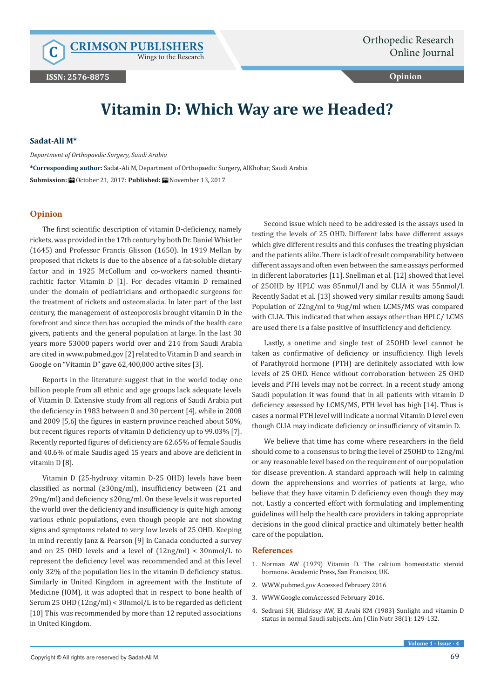Wings to the Research

**Opinion**

## **Vitamin D: Which Way are we Headed?**

## **Sadat-Ali M\***

*Department of Orthopaedic Surgery, Saudi Arabia* 

**\*Corresponding author:** Sadat-Ali M, Department of Orthopaedic Surgery, AlKhobar, Saudi Arabia **Submission:** October 21, 2017: **Published:** November 13, 2017

## **Opinion**

The first scientific description of vitamin D-deficiency, namely rickets, was provided in the 17th century by both Dr. Daniel Whistler (1645) and Professor Francis Glisson (1650). In 1919 Mellan by proposed that rickets is due to the absence of a fat-soluble dietary factor and in 1925 McCollum and co-workers named theantirachitic factor Vitamin D [1]. For decades vitamin D remained under the domain of pediatricians and orthopaedic surgeons for the treatment of rickets and osteomalacia. In later part of the last century, the management of osteoporosis brought vitamin D in the forefront and since then has occupied the minds of the health care givers, patients and the general population at large. In the last 30 years more 53000 papers world over and 214 from Saudi Arabia are cited in www.pubmed.gov [2] related to Vitamin D and search in Google on "Vitamin D" gave 62,400,000 active sites [3].

Reports in the literature suggest that in the world today one billion people from all ethnic and age groups lack adequate levels of Vitamin D. Extensive study from all regions of Saudi Arabia put the deficiency in 1983 between 0 and 30 percent [4], while in 2008 and 2009 [5,6] the figures in eastern province reached about 50%, but recent figures reports of vitamin D deficiency up to 99.03% [7]. Recently reported figures of deficiency are 62.65% of female Saudis and 40.6% of male Saudis aged 15 years and above are deficient in vitamin D [8].

Vitamin D (25-hydroxy vitamin D-25 OHD) levels have been classified as normal (≥30ng/ml), insufficiency between (21 and 29ng/ml) and deficiency ≤20ng/ml. On these levels it was reported the world over the deficiency and insufficiency is quite high among various ethnic populations, even though people are not showing signs and symptoms related to very low levels of 25 OHD. Keeping in mind recently Janz & Pearson [9] in Canada conducted a survey and on 25 OHD levels and a level of (12ng/ml) < 30nmol/L to represent the deficiency level was recommended and at this level only 32% of the population lies in the vitamin D deficiency status. Similarly in United Kingdom in agreement with the Institute of Medicine (IOM), it was adopted that in respect to bone health of Serum 25 OHD (12ng/ml) < 30nmol/L is to be regarded as deficient [10] This was recommended by more than 12 reputed associations in United Kingdom.

Second issue which need to be addressed is the assays used in testing the levels of 25 OHD. Different labs have different assays which give different results and this confuses the treating physician and the patients alike. There is lack of result comparability between different assays and often even between the same assays performed in different laboratories [11]. Snellman et al. [12] showed that level of 25OHD by HPLC was 85nmol/l and by CLIA it was 55nmol/l. Recently Sadat et al. [13] showed very similar results among Saudi Population of 22ng/ml to 9ng/ml when LCMS/MS was compared with CLIA. This indicated that when assays other than HPLC/ LCMS are used there is a false positive of insufficiency and deficiency.

Lastly, a onetime and single test of 25OHD level cannot be taken as confirmative of deficiency or insufficiency. High levels of Parathyroid hormone (PTH) are definitely associated with low levels of 25 OHD. Hence without corroboration between 25 OHD levels and PTH levels may not be correct. In a recent study among Saudi population it was found that in all patients with vitamin D deficiency assessed by LCMS/MS, PTH level has high [14]. Thus is cases a normal PTH level will indicate a normal Vitamin D level even though CLIA may indicate deficiency or insufficiency of vitamin D.

We believe that time has come where researchers in the field should come to a consensus to bring the level of 25OHD to 12ng/ml or any reasonable level based on the requirement of our population for disease prevention. A standard approach will help in calming down the apprehensions and worries of patients at large, who believe that they have vitamin D deficiency even though they may not. Lastly a concerted effort with formulating and implementing guidelines will help the health care providers in taking appropriate decisions in the good clinical practice and ultimately better health care of the population.

## **References**

- 1. Norman AW (1979) Vitamin D. The calcium homeostatic steroid hormone. Academic Press, San Francisco, UK.
- 2. WWW.pubmed.gov Accessed February 2016
- 3. WWW.Google.comAccessed February 2016.
- 4. [Sedrani SH, Elidrissy AW, El Arabi KM \(1983\) Sunlight and vitamin D](https://www.ncbi.nlm.nih.gov/pubmed/6602540) [status in normal Saudi subjects. Am J Clin Nutr 38\(1\): 129-132.](https://www.ncbi.nlm.nih.gov/pubmed/6602540)